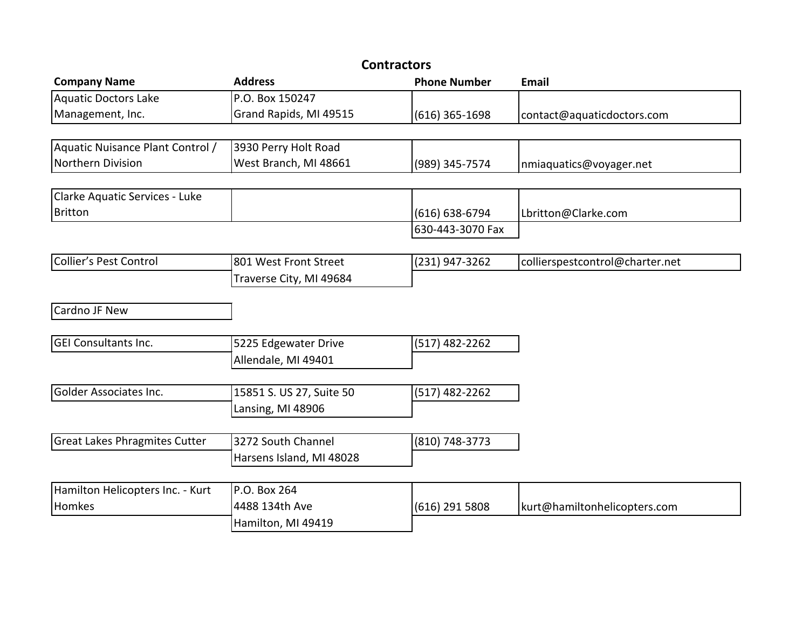| <b>Contractors</b>                   |                          |                     |                                 |  |  |  |
|--------------------------------------|--------------------------|---------------------|---------------------------------|--|--|--|
| <b>Company Name</b>                  | <b>Address</b>           | <b>Phone Number</b> | <b>Email</b>                    |  |  |  |
| <b>Aquatic Doctors Lake</b>          | P.O. Box 150247          |                     |                                 |  |  |  |
| Management, Inc.                     | Grand Rapids, MI 49515   | $(616)$ 365-1698    | contact@aquaticdoctors.com      |  |  |  |
|                                      |                          |                     |                                 |  |  |  |
| Aquatic Nuisance Plant Control /     | 3930 Perry Holt Road     |                     |                                 |  |  |  |
| Northern Division                    | West Branch, MI 48661    | (989) 345-7574      | nmiaquatics@voyager.net         |  |  |  |
|                                      |                          |                     |                                 |  |  |  |
| Clarke Aquatic Services - Luke       |                          |                     |                                 |  |  |  |
| <b>Britton</b>                       |                          | $(616) 638-6794$    | Lbritton@Clarke.com             |  |  |  |
|                                      |                          | 630-443-3070 Fax    |                                 |  |  |  |
|                                      |                          |                     |                                 |  |  |  |
| Collier's Pest Control               | 801 West Front Street    | (231) 947-3262      | collierspestcontrol@charter.net |  |  |  |
|                                      | Traverse City, MI 49684  |                     |                                 |  |  |  |
| Cardno JF New                        |                          |                     |                                 |  |  |  |
|                                      |                          |                     |                                 |  |  |  |
| <b>GEI Consultants Inc.</b>          | 5225 Edgewater Drive     | (517) 482-2262      |                                 |  |  |  |
|                                      | Allendale, MI 49401      |                     |                                 |  |  |  |
|                                      |                          |                     |                                 |  |  |  |
| Golder Associates Inc.               | 15851 S. US 27, Suite 50 | (517) 482-2262      |                                 |  |  |  |
|                                      | Lansing, MI 48906        |                     |                                 |  |  |  |
|                                      |                          |                     |                                 |  |  |  |
| <b>Great Lakes Phragmites Cutter</b> | 3272 South Channel       | (810) 748-3773      |                                 |  |  |  |
|                                      | Harsens Island, MI 48028 |                     |                                 |  |  |  |
|                                      |                          |                     |                                 |  |  |  |
| Hamilton Helicopters Inc. - Kurt     | P.O. Box 264             |                     |                                 |  |  |  |
| Homkes                               | 4488 134th Ave           | (616) 291 5808      | kurt@hamiltonhelicopters.com    |  |  |  |
|                                      | Hamilton, MI 49419       |                     |                                 |  |  |  |
|                                      |                          |                     |                                 |  |  |  |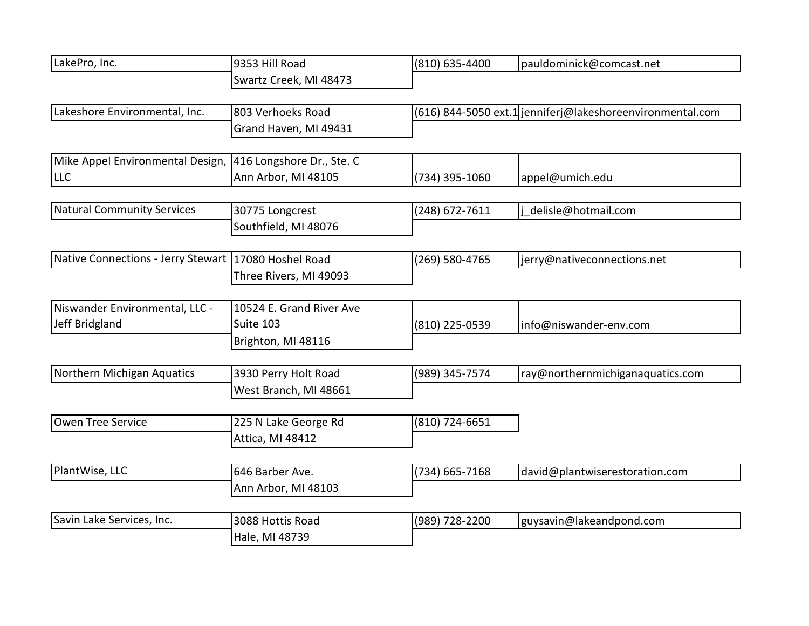| LakePro, Inc.                                        | 9353 Hill Road                           | (810) 635-4400 | pauldominick@comcast.net                                  |
|------------------------------------------------------|------------------------------------------|----------------|-----------------------------------------------------------|
|                                                      | Swartz Creek, MI 48473                   |                |                                                           |
| Lakeshore Environmental, Inc.                        | 803 Verhoeks Road                        |                | (616) 844-5050 ext.1 jenniferj@lakeshoreenvironmental.com |
|                                                      | Grand Haven, MI 49431                    |                |                                                           |
| Mike Appel Environmental Design,                     | 416 Longshore Dr., Ste. C                |                |                                                           |
| <b>LLC</b>                                           | Ann Arbor, MI 48105                      | (734) 395-1060 | appel@umich.edu                                           |
|                                                      |                                          |                |                                                           |
| <b>Natural Community Services</b>                    | 30775 Longcrest<br>Southfield, MI 48076  | (248) 672-7611 | j delisle@hotmail.com                                     |
|                                                      |                                          |                |                                                           |
| Native Connections - Jerry Stewart 17080 Hoshel Road |                                          | (269) 580-4765 | jerry@nativeconnections.net                               |
|                                                      | Three Rivers, MI 49093                   |                |                                                           |
| Niswander Environmental, LLC -                       | 10524 E. Grand River Ave                 |                |                                                           |
| Jeff Bridgland                                       | Suite 103                                | (810) 225-0539 | info@niswander-env.com                                    |
|                                                      | Brighton, MI 48116                       |                |                                                           |
| Northern Michigan Aquatics                           | 3930 Perry Holt Road                     | (989) 345-7574 | ray@northernmichiganaquatics.com                          |
|                                                      | West Branch, MI 48661                    |                |                                                           |
|                                                      |                                          |                |                                                           |
| Owen Tree Service                                    | 225 N Lake George Rd<br>Attica, MI 48412 | (810) 724-6651 |                                                           |
|                                                      |                                          |                |                                                           |
| PlantWise, LLC                                       | 646 Barber Ave.                          | (734) 665-7168 | david@plantwiserestoration.com                            |
|                                                      | Ann Arbor, MI 48103                      |                |                                                           |
| Savin Lake Services, Inc.                            | 3088 Hottis Road                         | (989) 728-2200 | guysavin@lakeandpond.com                                  |
|                                                      | Hale, MI 48739                           |                |                                                           |